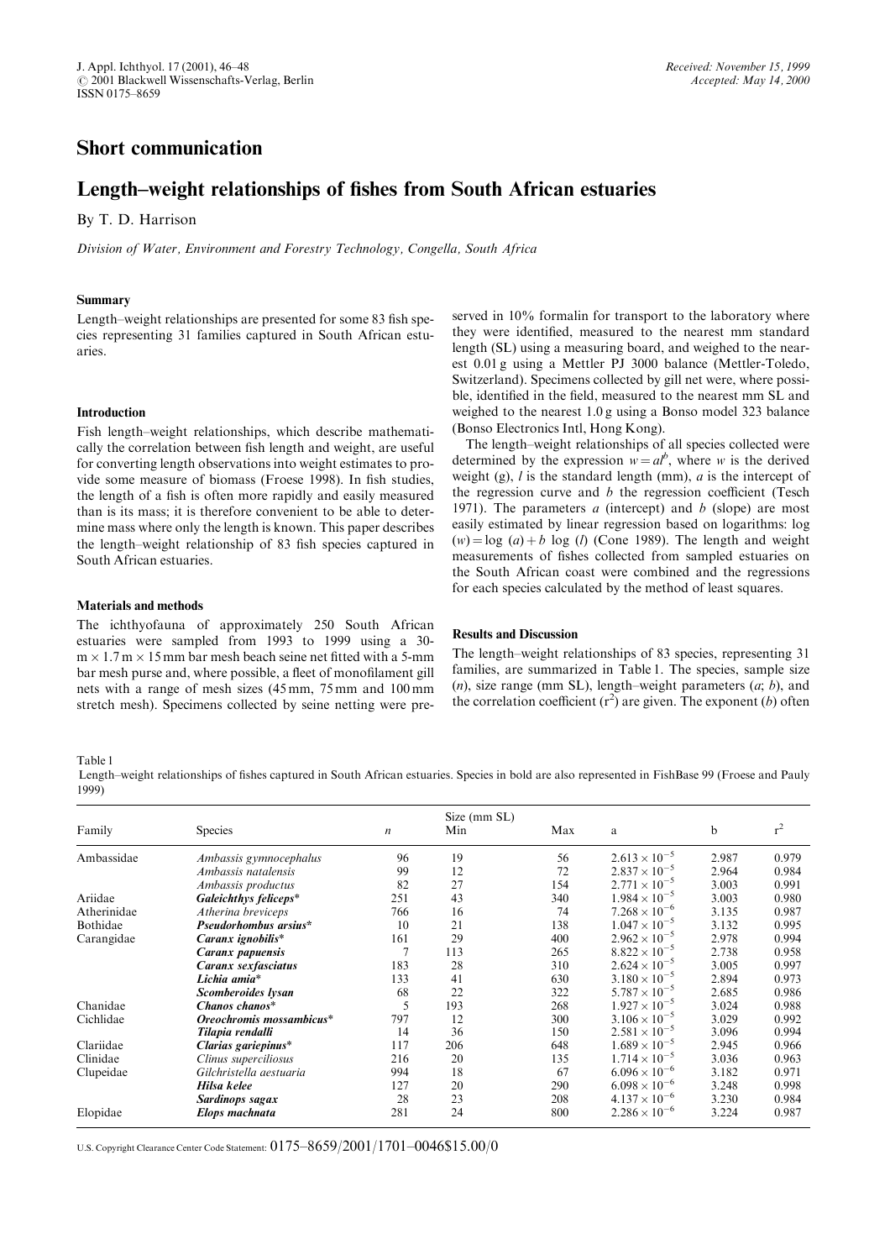# Short communication

# Length–weight relationships of fishes from South African estuaries

By T. D. Harrison

Division of Water, Environment and Forestry Technology, Congella, South Africa

#### Summary

Length-weight relationships are presented for some 83 fish species representing 31 families captured in South African estuaries.

#### Introduction

Fish length-weight relationships, which describe mathematically the correlation between fish length and weight, are useful for converting length observations into weight estimates to provide some measure of biomass (Froese 1998). In fish studies, the length of a fish is often more rapidly and easily measured than is its mass; it is therefore convenient to be able to determine mass where only the length is known. This paper describes the length–weight relationship of 83 fish species captured in South African estuaries.

### Materials and methods

The ichthyofauna of approximately 250 South African estuaries were sampled from 1993 to 1999 using a 30  $m \times 1.7$  m  $\times$  15 mm bar mesh beach seine net fitted with a 5-mm bar mesh purse and, where possible, a fleet of monofilament gill nets with a range of mesh sizes (45 mm, 75 mm and 100 mm stretch mesh). Specimens collected by seine netting were preserved in 10% formalin for transport to the laboratory where they were identified, measured to the nearest mm standard length (SL) using a measuring board, and weighed to the nearest 0.01 g using a Mettler PJ 3000 balance (Mettler-Toledo, Switzerland). Specimens collected by gill net were, where possible, identified in the field, measured to the nearest mm SL and weighed to the nearest 1.0 g using a Bonso model 323 balance (Bonso Electronics Intl, Hong Kong).

The length-weight relationships of all species collected were determined by the expression  $w = a l^b$ , where w is the derived weight (g),  $l$  is the standard length (mm),  $a$  is the intercept of the regression curve and  $b$  the regression coefficient (Tesch 1971). The parameters  $a$  (intercept) and  $b$  (slope) are most easily estimated by linear regression based on logarithms: log  $(w) = \log(a) + b \log(b)$  (Cone 1989). The length and weight measurements of fishes collected from sampled estuaries on the South African coast were combined and the regressions for each species calculated by the method of least squares.

#### Results and Discussion

The length–weight relationships of 83 species, representing 31 families, are summarized in Table 1. The species, sample size (n), size range (mm SL), length–weight parameters  $(a; b)$ , and the correlation coefficient  $(r^2)$  are given. The exponent (b) often

Table 1

Length-weight relationships of fishes captured in South African estuaries. Species in bold are also represented in FishBase 99 (Froese and Pauly 1999)

| Family      | <b>Species</b>           | $\boldsymbol{n}$ | Size (mm SL)<br>Min | Max | a                      | b     | $r^2$ |
|-------------|--------------------------|------------------|---------------------|-----|------------------------|-------|-------|
| Ambassidae  | Ambassis gymnocephalus   | 96               | 19                  | 56  | $2.613 \times 10^{-5}$ | 2.987 | 0.979 |
|             | Ambassis natalensis      | 99               | 12                  | 72  | $2.837 \times 10^{-5}$ | 2.964 | 0.984 |
|             | Ambassis productus       | 82               | 27                  | 154 | $2.771 \times 10^{-5}$ | 3.003 | 0.991 |
| Ariidae     | Galeichthys feliceps*    | 251              | 43                  | 340 | $1.984 \times 10^{-5}$ | 3.003 | 0.980 |
| Atherinidae | Atherina breviceps       | 766              | 16                  | 74  | $7.268 \times 10^{-6}$ | 3.135 | 0.987 |
| Bothidae    | Pseudorhombus arsius*    | 10               | 21                  | 138 | $1.047 \times 10^{-5}$ | 3.132 | 0.995 |
| Carangidae  | Caranx ignobilis*        | 161              | 29                  | 400 | $2.962 \times 10^{-5}$ | 2.978 | 0.994 |
|             | Caranx papuensis         | 7                | 113                 | 265 | $8.822 \times 10^{-5}$ | 2.738 | 0.958 |
|             | Caranx sexfasciatus      | 183              | 28                  | 310 | $2.624 \times 10^{-5}$ | 3.005 | 0.997 |
|             | Lichia amia*             | 133              | 41                  | 630 | $3.180 \times 10^{-5}$ | 2.894 | 0.973 |
|             | Scomberoides lysan       | 68               | 22                  | 322 | $5.787 \times 10^{-5}$ | 2.685 | 0.986 |
| Chanidae    | Chanos chanos*           | 5                | 193                 | 268 | $1.927 \times 10^{-5}$ | 3.024 | 0.988 |
| Cichlidae   | Oreochromis mossambicus* | 797              | 12                  | 300 | $3.106 \times 10^{-5}$ | 3.029 | 0.992 |
|             | Tilapia rendalli         | 14               | 36                  | 150 | $2.581 \times 10^{-5}$ | 3.096 | 0.994 |
| Clariidae   | Clarias gariepinus*      | 117              | 206                 | 648 | $1.689 \times 10^{-5}$ | 2.945 | 0.966 |
| Clinidae    | Clinus superciliosus     | 216              | 20                  | 135 | $1.714 \times 10^{-5}$ | 3.036 | 0.963 |
| Clupeidae   | Gilchristella aestuaria  | 994              | 18                  | 67  | $6.096 \times 10^{-6}$ | 3.182 | 0.971 |
|             | Hilsa kelee              | 127              | 20                  | 290 | $6.098 \times 10^{-6}$ | 3.248 | 0.998 |
|             | Sardinops sagax          | 28               | 23                  | 208 | $4.137 \times 10^{-6}$ | 3.230 | 0.984 |
| Elopidae    | Elops machnata           | 281              | 24                  | 800 | $2.286 \times 10^{-6}$ | 3.224 | 0.987 |

U.S. Copyright Clearance Center Code Statement:  $0175-8659/2001/1701-0046$15.00/0$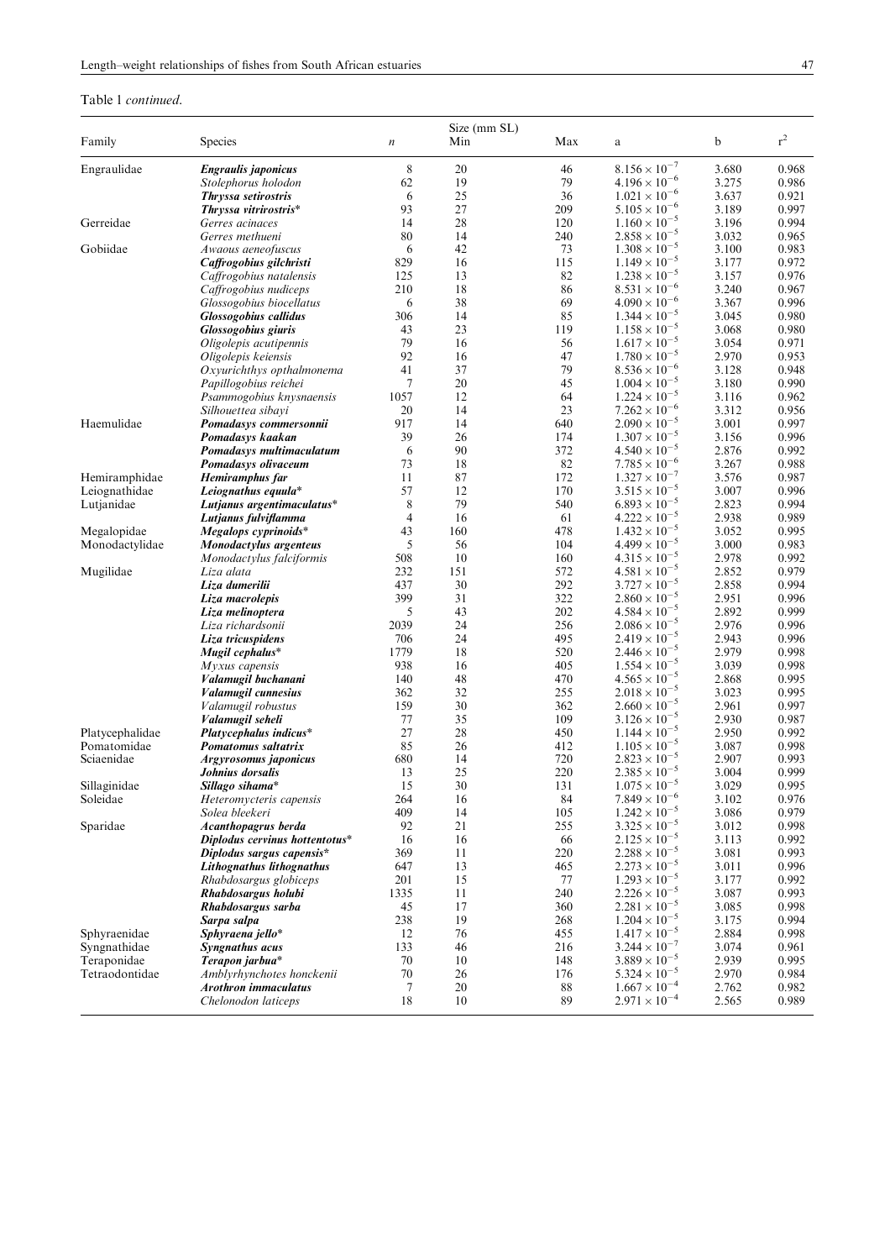## Table 1 continued.

| Family          | Species                                              | $\boldsymbol{n}$ | Size (mm SL)<br>Min | Max        | $\rm{a}$                                         | b              | $\rm r^2$      |
|-----------------|------------------------------------------------------|------------------|---------------------|------------|--------------------------------------------------|----------------|----------------|
| Engraulidae     | Engraulis japonicus                                  | $\,$ 8 $\,$      | 20                  | 46         | $8.156 \times 10^{-7}$                           | 3.680          | 0.968          |
|                 | Stolephorus holodon                                  | 62               | 19                  | 79         | $4.196 \times 10^{-6}$                           | 3.275          | 0.986          |
|                 | Thryssa setirostris                                  | 6                | 25                  | 36         | $1.021 \times 10^{-6}$                           | 3.637          | 0.921          |
|                 | Thryssa vitrirostris*                                | 93               | 27                  | 209        | $5.105 \times 10^{-6}$                           | 3.189          | 0.997          |
| Gerreidae       | Gerres acinaces                                      | 14               | 28                  | 120        | $1.160 \times 10^{-5}$                           | 3.196          | 0.994          |
|                 | Gerres methueni                                      | 80               | 14                  | 240        | $2.858 \times 10^{-5}$                           | 3.032          | 0.965          |
| Gobiidae        | Awaous aeneofuscus                                   | 6                | 42                  | 73         | $1.308 \times 10^{-5}$                           | 3.100          | 0.983          |
|                 | Caffrogobius gilchristi                              | 829              | 16                  | 115        | $1.149 \times 10^{-5}$                           | 3.177          | 0.972          |
|                 | Caffrogobius natalensis                              | 125              | 13                  | 82         | $1.238 \times 10^{-5}$                           | 3.157          | 0.976          |
|                 | Caffrogobius nudiceps                                | 210              | 18                  | 86         | $8.531 \times 10^{-6}$                           | 3.240          | 0.967          |
|                 | Glossogobius biocellatus                             | 6                | 38<br>14            | 69<br>85   | $4.090 \times 10^{-6}$<br>$1.344 \times 10^{-5}$ | 3.367          | 0.996          |
|                 | <b>Glossogobius callidus</b>                         | 306<br>43        | 23                  | 119        | $1.158 \times 10^{-5}$                           | 3.045<br>3.068 | 0.980<br>0.980 |
|                 | <b>Glossogobius giuris</b><br>Oligolepis acutipennis | 79               | 16                  | 56         | $1.617 \times 10^{-5}$                           | 3.054          | 0.971          |
|                 | Oligolepis keiensis                                  | 92               | 16                  | 47         | $1.780 \times 10^{-5}$                           | 2.970          | 0.953          |
|                 | Oxyurichthys opthalmonema                            | 41               | 37                  | 79         | $8.536 \times 10^{-6}$                           | 3.128          | 0.948          |
|                 | Papillogobius reichei                                | 7                | 20                  | 45         | $1.004 \times 10^{-5}$                           | 3.180          | 0.990          |
|                 | Psammogobius knysnaensis                             | 1057             | 12                  | 64         | $1.224 \times 10^{-5}$                           | 3.116          | 0.962          |
|                 | Silhouettea sibayi                                   | 20               | 14                  | 23         | $7.262 \times 10^{-6}$                           | 3.312          | 0.956          |
| Haemulidae      | Pomadasys commersonnii                               | 917              | 14                  | 640        | $2.090 \times 10^{-5}$                           | 3.001          | 0.997          |
|                 | Pomadasys kaakan                                     | 39               | 26                  | 174        | $1.307 \times 10^{-5}$                           | 3.156          | 0.996          |
|                 | Pomadasys multimaculatum                             | 6                | 90                  | 372        | $4.540 \times 10^{-5}$                           | 2.876          | 0.992          |
|                 | Pomadasys olivaceum                                  | 73               | 18                  | 82         | $7.785 \times 10^{-6}$                           | 3.267          | 0.988          |
| Hemiramphidae   | Hemiramphus far                                      | 11               | 87                  | 172        | $1.327 \times 10^{-7}$                           | 3.576          | 0.987          |
| Leiognathidae   | Leiognathus equula*                                  | 57               | 12                  | 170        | $3.515 \times 10^{-5}$                           | 3.007          | 0.996          |
| Lutjanidae      | Lutjanus argentimaculatus*                           | $\,8\,$          | 79                  | 540        | $6.893 \times 10^{-5}$                           | 2.823          | 0.994          |
|                 | Lutjanus fulviflamma                                 | 4                | 16                  | 61         | $4.222 \times 10^{-5}$                           | 2.938          | 0.989          |
| Megalopidae     | Megalops cyprinoids*                                 | 43               | 160                 | 478        | $1.432 \times 10^{-5}$                           | 3.052          | 0.995          |
| Monodactylidae  | Monodactylus argenteus                               | 5                | 56                  | 104        | $4.499 \times 10^{-5}$                           | 3.000          | 0.983          |
|                 | Monodactylus falciformis                             | 508              | 10                  | 160        | $4.315 \times 10^{-5}$                           | 2.978          | 0.992          |
| Mugilidae       | Liza alata                                           | 232              | 151<br>30           | 572<br>292 | $4.581 \times 10^{-5}$                           | 2.852          | 0.979          |
|                 | Liza dumerilii<br>Liza macrolepis                    | 437<br>399       | 31                  | 322        | $3.727 \times 10^{-5}$<br>$2.860 \times 10^{-5}$ | 2.858<br>2.951 | 0.994<br>0.996 |
|                 | Liza melinoptera                                     | 5                | 43                  | 202        | $4.584 \times 10^{-5}$                           | 2.892          | 0.999          |
|                 | Liza richardsonii                                    | 2039             | 24                  | 256        | $2.086 \times 10^{-5}$                           | 2.976          | 0.996          |
|                 | Liza tricuspidens                                    | 706              | 24                  | 495        | $2.419 \times 10^{-5}$                           | 2.943          | 0.996          |
|                 | Mugil cephalus*                                      | 1779             | 18                  | 520        | $2.446 \times 10^{-5}$                           | 2.979          | 0.998          |
|                 | $M$ yxus capensis                                    | 938              | 16                  | 405        | $1.554 \times 10^{-5}$                           | 3.039          | 0.998          |
|                 | Valamugil buchanani                                  | 140              | 48                  | 470        | $4.565 \times 10^{-5}$                           | 2.868          | 0.995          |
|                 | Valamugil cunnesius                                  | 362              | 32                  | 255        | $2.018 \times 10^{-5}$                           | 3.023          | 0.995          |
|                 | Valamugil robustus                                   | 159              | 30                  | 362        | $2.660 \times 10^{-5}$                           | 2.961          | 0.997          |
|                 | Valamugil seheli                                     | 77               | 35                  | 109        | $3.126 \times 10^{-5}$                           | 2.930          | 0.987          |
| Platycephalidae | Platycephalus indicus*                               | 27               | 28                  | 450        | $1.144 \times 10^{-5}$                           | 2.950          | 0.992          |
| Pomatomidae     | Pomatomus saltatrix                                  | 85               | 26                  | 412        | $1.105 \times 10^{-5}$                           | 3.087          | 0.998          |
| Sciaenidae      | Argyrosomus japonicus                                | 680              | 14                  | 720        | $2.823 \times 10^{-5}$                           | 2.907          | 0.993          |
|                 | Johnius dorsalis                                     | 13               | 25                  | 220        | $2.385 \times 10^{-5}$                           | 3.004          | 0.999          |
| Sillaginidae    | Sillago sihama*                                      | 15               | 30                  | 131        | $1.075 \times 10^{-5}$                           | 3.029          | 0.995          |
| Soleidae        | Heteromycteris capensis                              | 264              | 16                  | 84         | $7.849 \times 10^{-6}$<br>$1.242 \times 10^{-5}$ | 3.102          | 0.976          |
|                 | Solea bleekeri<br>Acanthopagrus berda                | 409<br>92        | 14<br>21            | 105<br>255 | $3.325 \times 10^{-5}$                           | 3.086<br>3.012 | 0.979<br>0.998 |
| Sparidae        | Diplodus cervinus hottentotus*                       | 16               | 16                  | 66         | $2.125 \times 10^{-5}$                           | 3.113          | 0.992          |
|                 | Diplodus sargus capensis*                            | 369              | 11                  | 220        | $2.288 \times 10^{-5}$                           | 3.081          | 0.993          |
|                 | Lithognathus lithognathus                            | 647              | 13                  | 465        | $2.273 \times 10^{-5}$                           | 3.011          | 0.996          |
|                 | Rhabdosargus globiceps                               | 201              | 15                  | 77         | $1.293 \times 10^{-5}$                           | 3.177          | 0.992          |
|                 | Rhabdosargus holubi                                  | 1335             | 11                  | 240        | $2.226 \times 10^{-5}$                           | 3.087          | 0.993          |
|                 | Rhabdosargus sarba                                   | 45               | 17                  | 360        | $2.281 \times 10^{-5}$                           | 3.085          | 0.998          |
|                 | Sarpa salpa                                          | 238              | 19                  | 268        | $1.204 \times 10^{-5}$                           | 3.175          | 0.994          |
| Sphyraenidae    | Sphyraena jello*                                     | 12               | 76                  | 455        | $1.417 \times 10^{-5}$                           | 2.884          | 0.998          |
| Syngnathidae    | Syngnathus acus                                      | 133              | 46                  | 216        | $3.244 \times 10^{-7}$                           | 3.074          | 0.961          |
| Teraponidae     | Terapon jarbua*                                      | 70               | 10                  | 148        | $3.889 \times 10^{-5}$                           | 2.939          | 0.995          |
| Tetraodontidae  | Amblyrhynchotes honckenii                            | 70               | 26                  | 176        | $5.324 \times 10^{-5}$                           | 2.970          | 0.984          |
|                 | Arothron immaculatus                                 | 7                | 20                  | 88         | $1.667 \times 10^{-4}$                           | 2.762          | 0.982          |
|                 | Chelonodon laticeps                                  | 18               | 10                  | 89         | $2.971 \times 10^{-4}$                           | 2.565          | 0.989          |